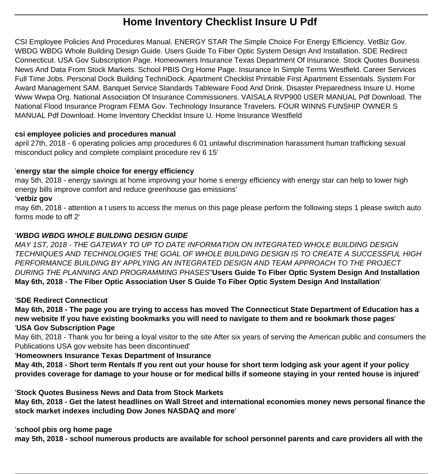# **Home Inventory Checklist Insure U Pdf**

CSI Employee Policies And Procedures Manual. ENERGY STAR The Simple Choice For Energy Efficiency. VetBiz Gov. WBDG WBDG Whole Building Design Guide. Users Guide To Fiber Optic System Design And Installation. SDE Redirect Connecticut. USA Gov Subscription Page. Homeowners Insurance Texas Department Of Insurance. Stock Quotes Business News And Data From Stock Markets. School PBIS Org Home Page. Insurance In Simple Terms Westfield. Career Services Full Time Jobs. Personal Dock Building TechniDock. Apartment Checklist Printable First Apartment Essentials. System For Award Management SAM. Banquet Service Standards Tableware Food And Drink. Disaster Preparedness Insure U. Home Www Wwpa Org. National Association Of Insurance Commissioners. VAISALA RVP900 USER MANUAL Pdf Download. The National Flood Insurance Program FEMA Gov. Technology Insurance Travelers. FOUR WINNS FUNSHIP OWNER S MANUAL Pdf Download. Home Inventory Checklist Insure U. Home Insurance Westfield

# **csi employee policies and procedures manual**

april 27th, 2018 - 6 operating policies amp procedures 6 01 unlawful discrimination harassment human trafficking sexual misconduct policy and complete complaint procedure rev 6 15'

# '**energy star the simple choice for energy efficiency**

may 5th, 2018 - energy savings at home improving your home s energy efficiency with energy star can help to lower high energy bills improve comfort and reduce greenhouse gas emissions'

# '**vetbiz gov**

may 6th, 2018 - attention a t users to access the menus on this page please perform the following steps 1 please switch auto forms mode to off 2'

# '**WBDG WBDG WHOLE BUILDING DESIGN GUIDE**

MAY 1ST, 2018 - THE GATEWAY TO UP TO DATE INFORMATION ON INTEGRATED WHOLE BUILDING DESIGN TECHNIQUES AND TECHNOLOGIES THE GOAL OF WHOLE BUILDING DESIGN IS TO CREATE A SUCCESSFUL HIGH PERFORMANCE BUILDING BY APPLYING AN INTEGRATED DESIGN AND TEAM APPROACH TO THE PROJECT DURING THE PLANNING AND PROGRAMMING PHASES''**Users Guide To Fiber Optic System Design And Installation May 6th, 2018 - The Fiber Optic Association User S Guide To Fiber Optic System Design And Installation**'

# '**SDE Redirect Connecticut**

**May 6th, 2018 - The page you are trying to access has moved The Connecticut State Department of Education has a new website If you have existing bookmarks you will need to navigate to them and re bookmark those pages**' '**USA Gov Subscription Page**

May 6th, 2018 - Thank you for being a loyal visitor to the site After six years of serving the American public and consumers the Publications USA gov website has been discontinued'

# '**Homeowners Insurance Texas Department of Insurance**

**May 4th, 2018 - Short term Rentals If you rent out your house for short term lodging ask your agent if your policy provides coverage for damage to your house or for medical bills if someone staying in your rented house is injured**'

'**Stock Quotes Business News and Data from Stock Markets**

**May 6th, 2018 - Get the latest headlines on Wall Street and international economies money news personal finance the stock market indexes including Dow Jones NASDAQ and more**'

'**school pbis org home page**

**may 5th, 2018 - school numerous products are available for school personnel parents and care providers all with the**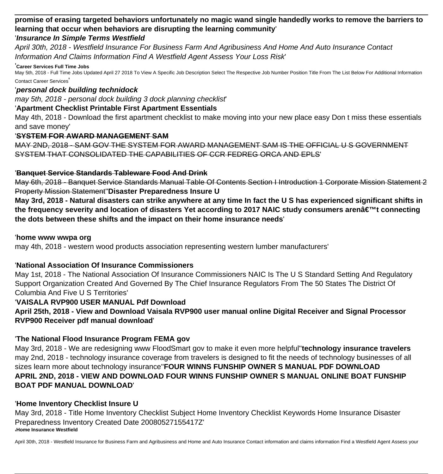# **promise of erasing targeted behaviors unfortunately no magic wand single handedly works to remove the barriers to learning that occur when behaviors are disrupting the learning community**'

# '**Insurance In Simple Terms Westfield**

April 30th, 2018 - Westfield Insurance For Business Farm And Agribusiness And Home And Auto Insurance Contact Information And Claims Information Find A Westfield Agent Assess Your Loss Risk'

#### '**Career Services Full Time Jobs**

May 5th, 2018 - Full Time Jobs Updated April 27 2018 To View A Specific Job Description Select The Respective Job Number Position Title From The List Below For Additional Information Contact Career Services'

#### '**personal dock building technidock**

may 5th, 2018 - personal dock building 3 dock planning checklist'

## '**Apartment Checklist Printable First Apartment Essentials**

May 4th, 2018 - Download the first apartment checklist to make moving into your new place easy Don t miss these essentials and save money'

# '**SYSTEM FOR AWARD MANAGEMENT SAM**

MAY 2ND, 2018 - SAM GOV THE SYSTEM FOR AWARD MANAGEMENT SAM IS THE OFFICIAL U S GOVERNMENT SYSTEM THAT CONSOLIDATED THE CAPABILITIES OF CCR FEDREG ORCA AND EPLS'

### '**Banquet Service Standards Tableware Food And Drink**

May 6th, 2018 - Banquet Service Standards Manual Table Of Contents Section I Introduction 1 Corporate Mission Statement 2 Property Mission Statement''**Disaster Preparedness Insure U**

**May 3rd, 2018 - Natural disasters can strike anywhere at any time In fact the U S has experienced significant shifts in** the frequency severity and location of disasters Yet according to 2017 NAIC study consumers arenâ€<sup>™</sup>t connecting **the dots between these shifts and the impact on their home insurance needs**'

#### '**home www wwpa org**

may 4th, 2018 - western wood products association representing western lumber manufacturers'

# '**National Association Of Insurance Commissioners**

May 1st, 2018 - The National Association Of Insurance Commissioners NAIC Is The U S Standard Setting And Regulatory Support Organization Created And Governed By The Chief Insurance Regulators From The 50 States The District Of Columbia And Five U S Territories'

# '**VAISALA RVP900 USER MANUAL Pdf Download**

**April 25th, 2018 - View and Download Vaisala RVP900 user manual online Digital Receiver and Signal Processor RVP900 Receiver pdf manual download**'

# '**The National Flood Insurance Program FEMA gov**

May 3rd, 2018 - We are redesigning www FloodSmart gov to make it even more helpful''**technology insurance travelers** may 2nd, 2018 - technology insurance coverage from travelers is designed to fit the needs of technology businesses of all sizes learn more about technology insurance''**FOUR WINNS FUNSHIP OWNER S MANUAL PDF DOWNLOAD APRIL 2ND, 2018 - VIEW AND DOWNLOAD FOUR WINNS FUNSHIP OWNER S MANUAL ONLINE BOAT FUNSHIP BOAT PDF MANUAL DOWNLOAD**'

# '**Home Inventory Checklist Insure U**

May 3rd, 2018 - Title Home Inventory Checklist Subject Home Inventory Checklist Keywords Home Insurance Disaster Preparedness Inventory Created Date 20080527155417Z' '**Home Insurance Westfield**

April 30th, 2018 - Westfield Insurance for Business Farm and Agribusiness and Home and Auto Insurance Contact information and claims information Find a Westfield Agent Assess your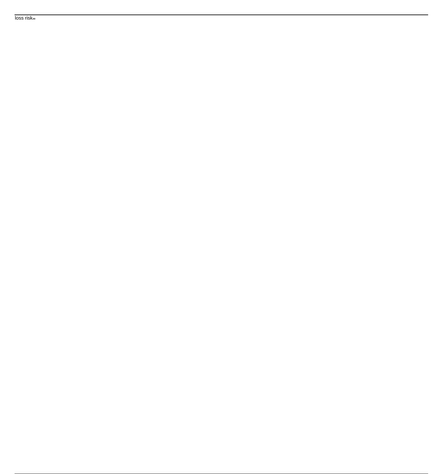loss risk<sub>"</sub>